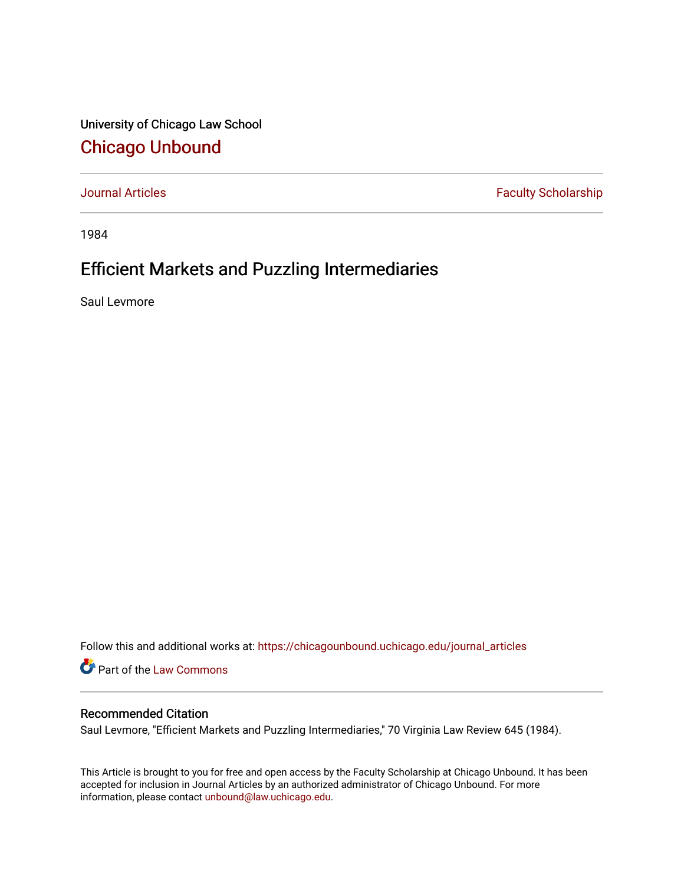University of Chicago Law School [Chicago Unbound](https://chicagounbound.uchicago.edu/)

[Journal Articles](https://chicagounbound.uchicago.edu/journal_articles) **Faculty Scholarship Faculty Scholarship** 

1984

# Efficient Markets and Puzzling Intermediaries

Saul Levmore

Follow this and additional works at: [https://chicagounbound.uchicago.edu/journal\\_articles](https://chicagounbound.uchicago.edu/journal_articles?utm_source=chicagounbound.uchicago.edu%2Fjournal_articles%2F1590&utm_medium=PDF&utm_campaign=PDFCoverPages) 

Part of the [Law Commons](http://network.bepress.com/hgg/discipline/578?utm_source=chicagounbound.uchicago.edu%2Fjournal_articles%2F1590&utm_medium=PDF&utm_campaign=PDFCoverPages)

# Recommended Citation

Saul Levmore, "Efficient Markets and Puzzling Intermediaries," 70 Virginia Law Review 645 (1984).

This Article is brought to you for free and open access by the Faculty Scholarship at Chicago Unbound. It has been accepted for inclusion in Journal Articles by an authorized administrator of Chicago Unbound. For more information, please contact [unbound@law.uchicago.edu](mailto:unbound@law.uchicago.edu).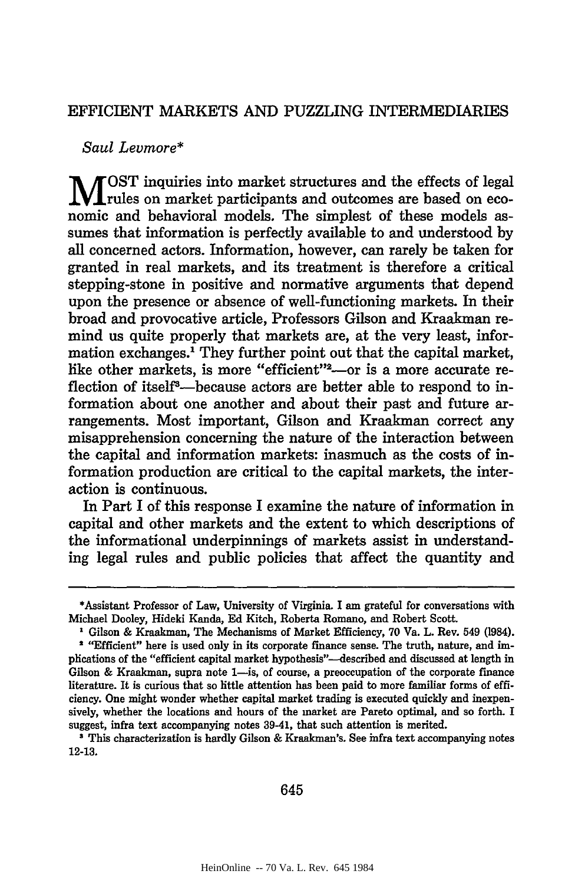## EFFICIENT MARKETS **AND** PUZZLING INTERMEDIARIES

#### *Saul Levmore\**

**FOST** inquiries into market structures and the effects of legal rules on market participants and outcomes are based on economic and behavioral models. The simplest of these models assumes that information is perfectly available to and understood by all concerned actors. Information, however, can rarely be taken for granted in real markets, and its treatment is therefore a critical stepping-stone in positive and normative arguments that depend upon the presence or absence of well-functioning markets. In their broad and provocative article, Professors Gilson and Kraakman remind us quite properly that markets are, at the very least, information exchanges.1 They further point out that the capital market, like other markets, is more "efficient"<sup>2</sup>—or is a more accurate reflection of itself<sup>3</sup>—because actors are better able to respond to information about one another and about their past and future arrangements. Most important, Gilson and Kraakman correct any misapprehension concerning the nature of the interaction between the capital and information markets: inasmuch as the costs of information production are critical to the capital markets, the interaction is continuous.

In Part I of this response I examine the nature of information in capital and other markets and the extent to which descriptions of the informational underpinnings of markets assist in understanding legal rules and public policies that affect the quantity and

**<sup>3</sup>**This characterization is hardly Gilson & Kraakman's. See infra text accompanying notes 12-13.

645

<sup>\*</sup>Assistant Professor of Law, University of Virginia. I am grateful for conversations with Michael Dooley, Hideki Kanda, Ed Kitch, Roberta Romano, and Robert Scott.

<sup>&</sup>lt;sup>1</sup> Gilson & Kraakman, The Mechanisms of Market Efficiency, 70 Va. L. Rev. 549 (1984). 2 "Efficient" here is used only in its corporate finance sense. The truth, nature, and implications of the "efficient capital market hypothesis"-described and discussed at length in Gilson & Kraakman, supra note 1-is, of course, a preoccupation of the corporate finance literature. It is curious that so little attention has been paid to more familiar forms of efficiency. One might wonder whether capital market trading is executed quickly and inexpensively, whether the locations and hours of the market are Pareto optimal, and so forth. I suggest, infra text accompanying notes 39-41, that such attention is merited.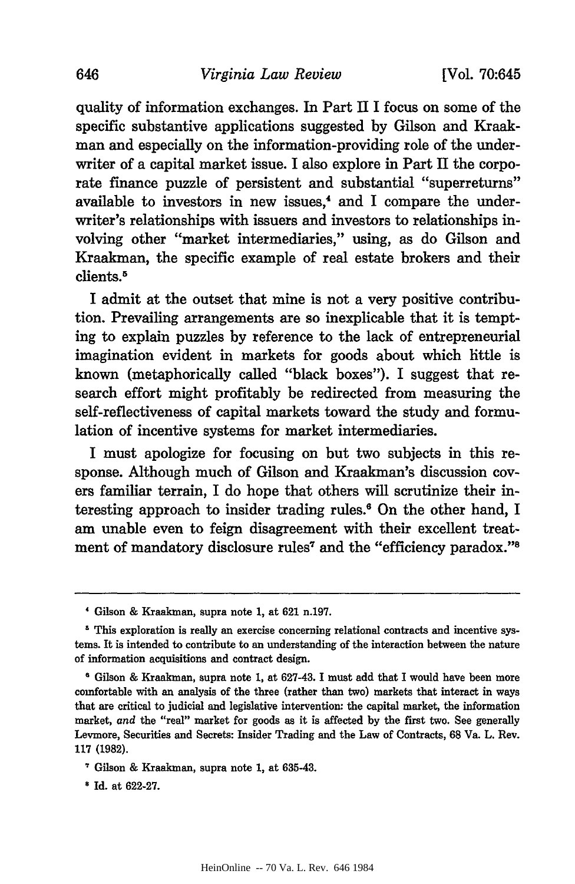quality of information exchanges. In Part II I focus on some of the specific substantive applications suggested by Gilson and Kraakman and especially on the information-providing role of the underwriter of a capital market issue. I also explore in Part II the corporate finance puzzle of persistent and substantial "superreturns" available to investors in new issues,<sup>4</sup> and I compare the underwriter's relationships with issuers and investors to relationships involving other "market intermediaries," using, as do Gilson and Kraakman, the specific example of real estate brokers and their clients.<sup>5</sup>

I admit at the outset that mine is not a very positive contribution. Prevailing arrangements are so inexplicable that it is tempting to explain puzzles **by** reference to the lack of entrepreneurial imagination evident in markets for goods about which little is known (metaphorically called "black boxes"). I suggest that research effort might profitably be redirected from measuring the self-reflectiveness of capital markets toward the study and formulation of incentive systems for market intermediaries.

**I** must apologize for focusing on but two subjects in this response. Although much of Gilson and Kraakman's discussion covers familiar terrain, I do hope that others will scrutinize their interesting approach to insider trading rules.<sup>6</sup> On the other hand, I am unable even to feign disagreement with their excellent treatment of mandatory disclosure rules<sup>7</sup> and the "efficiency paradox."<sup>8</sup>

Gilson & Kraakman, supra note 1, at **621** n.197.

<sup>&</sup>lt;sup>8</sup> This exploration is really an exercise concerning relational contracts and incentive systems. It is intended to contribute to an understanding of the interaction between the nature of information acquisitions and contract design.

**<sup>6</sup>** Gilson & Kraakman, supra note 1, at 627-43. I must add that I would have been more comfortable with an analysis of the three (rather than two) markets that interact in ways that are critical to judicial and legislative intervention: the capital market, the information market, *and* the "real" market for goods as it is affected **by** the first two. See generally Levmore, Securities and Secrets: Insider Trading and the Law of Contracts, **68** Va. L. Rev. **117 (1982).**

<sup>7</sup> Gilson **&** Kraakman, supra note **1,** at **635-43.**

**<sup>8</sup>** Id. at **622-27.**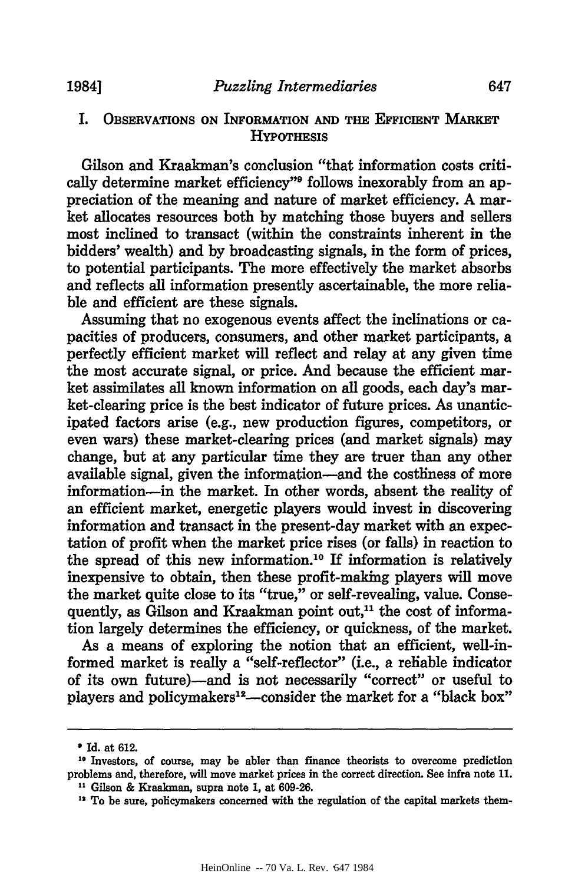#### I. **OBSERVATIONS ON** INFORMATION **AND** THE EFFICIENT MARKET **HYPOTHESIS**

Gilson and Kraakman's conclusion "that information costs critically determine market efficiency"<sup>9</sup> follows inexorably from an appreciation of the meaning and nature of market efficiency. **A** market allocates resources both **by** matching those buyers and sellers most inclined to transact (within the constraints inherent in the bidders' wealth) and **by** broadcasting signals, in the form of prices, to potential participants. The more effectively the market absorbs and reflects all information presently ascertainable, the more reliable and efficient are these signals.

Assuming that no exogenous events affect the inclinations or capacities of producers, consumers, and other market participants, a perfectly efficient market will reflect and relay at any given time the most accurate signal, or price. And because the efficient market assimilates all known information on all goods, each day's market-clearing price is the best indicator of future prices. As unanticipated factors arise (e.g., new production figures, competitors, or even wars) these market-clearing prices (and market signals) may change, but at any particular time they are truer than any other available signal, given the information—and the costliness of more information-in the market. In other words, absent the reality of an efficient market, energetic players would invest in discovering information and transact in the present-day market with an expectation of profit when the market price rises (or falls) in reaction to the spread of this new information.10 If information is relatively inexpensive to obtain, then these profit-making players **will** move the market quite close to its "true," or self-revealing, value. Consequently, as Gilson and Kraakman point out,<sup>11</sup> the cost of information largely determines the efficiency, or quickness, of the market.

As a means of exploring the notion that an efficient, well-informed market is really a "self-reflector" (i.e., a reliable indicator of its own future)-and is not necessarily "correct" or useful to players and policymakers<sup>12</sup>—consider the market for a "black box"

**Id.** at **612.**

<sup>&</sup>lt;sup>10</sup> Investors, of course, may be abler than finance theorists to overcome prediction problems and, therefore, will move market prices in the correct direction. See infra note 11.<br><sup>11</sup> Gilson & Kraakman, supra note 1, at 609-26.

<sup>&</sup>lt;sup>12</sup> To be sure, policymakers concerned with the regulation of the capital markets them-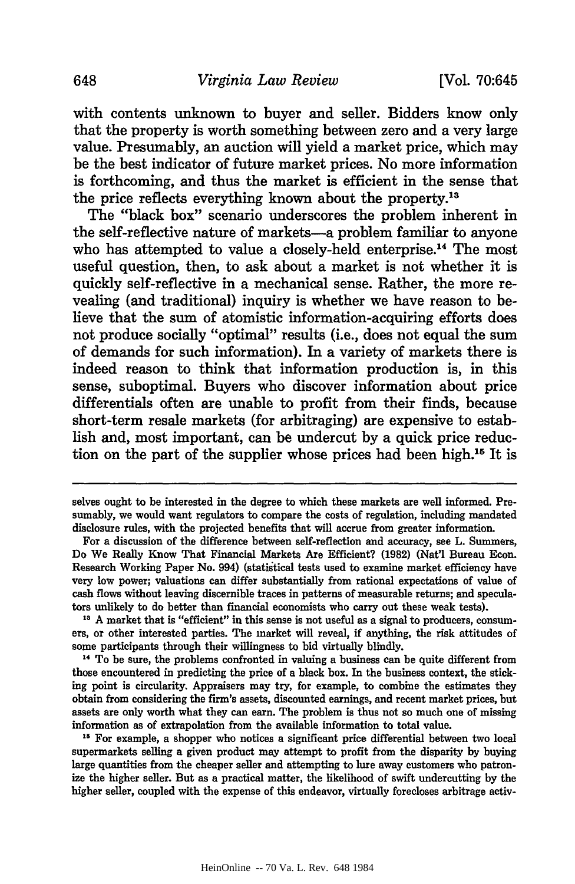with contents unknown to buyer and seller. Bidders know only that the property is worth something between zero and a very large value. Presumably, an auction will yield a market price, which may be the best indicator of future market prices. No more information is forthcoming, and thus the market is efficient in the sense that the price reflects everything known about the property.13

The "black box" scenario underscores the problem inherent in the self-reflective nature of markets-a problem familiar to anyone who has attempted to value a closely-held enterprise.<sup>14</sup> The most useful question, then, to ask about a market is not whether it is quickly self-reflective in a mechanical sense. Rather, the more revealing (and traditional) inquiry is whether we have reason to believe that the sum of atomistic information-acquiring efforts does not produce socially "optimal" results (i.e., does not equal the sum of demands for such information). In a variety of markets there is indeed reason to think that information production is, in this sense, suboptimal. Buyers who discover information about price differentials often are unable to profit from their finds, because short-term resale markets (for arbitraging) are expensive to establish and, most important, can be undercut **by** a quick price reduction on the part of the supplier whose prices had been high.<sup>15</sup> It is

**13** A market that is "efficient" in this sense is not useful as a signal to producers, consumers, or other interested parties. The market will reveal, if anything, the risk attitudes of some participants through their willingness to bid virtually blindly.<br><sup>4</sup> To be sure, the problems confronted in valuing a business can be quite different from

those encountered in predicting the price of a black box. In the business context, the sticking point is circularity. Appraisers may try, for example, to combine the estimates they obtain from considering the firm's assets, discounted earnings, and recent market prices, but assets are only worth what they can earn. The problem is thus not so much one of missing information as of extrapolation from the available information to total value.

**15** For example, a shopper who notices a significant price differential between two local supermarkets selling a given product may attempt to profit from the disparity by buying large quantities from the cheaper seller and attempting to lure away customers who patronize the higher seller. But as a practical matter, the likelihood of swift undercutting by the higher seller, coupled with the expense of this endeavor, virtually forecloses arbitrage activ-

selves ought to be interested in the degree to which these markets are well informed. Presumably, we would want regulators to compare the costs of regulation, including mandated disclosure rules, with the projected benefits that will accrue from greater information.

For a discussion of the difference between self-reflection and accuracy, see L. Summers, Do We Really Know That Financial Markets Are Efficient? (1982) (Nat'l Bureau Econ. Research Working Paper No. 994) (statistical tests used to examine market efficiency have very low power; valuations can differ substantially from rational expectations of value of cash flows without leaving discernible traces in patterns of measurable returns; and speculators unlikely to do better than financial economists who carry out these weak tests).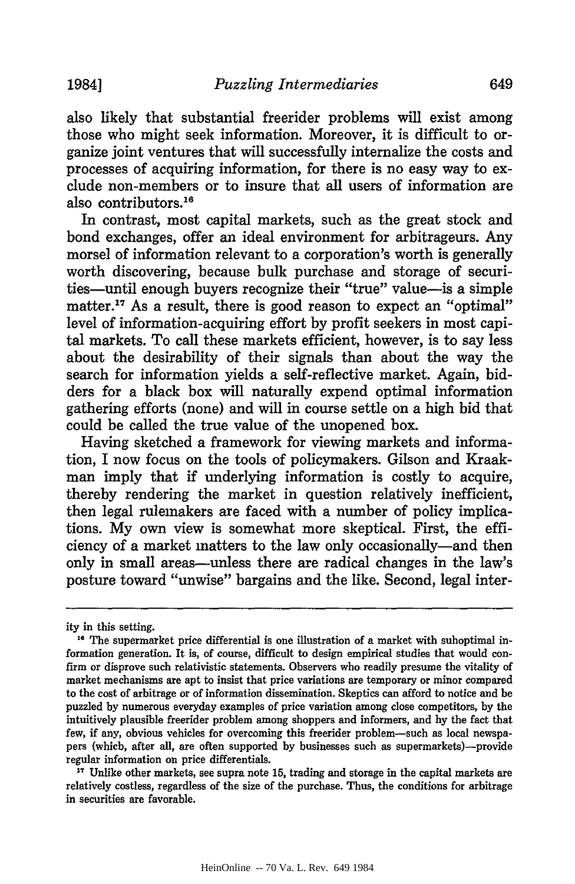also likely that substantial freerider problems will exist among those who might seek information. Moreover, it is difficult to organize joint ventures that will successfully internalize the costs and processes of acquiring information, for there is no easy way to ex-

clude non-members or to insure that all users of information are also contributors.<sup>16</sup>

In contrast, most capital markets, such as the great stock and bond exchanges, offer an ideal environment for arbitrageurs. Any morsel of information relevant to a corporation's worth is generally worth discovering, because bulk purchase and storage of securities—until enough buyers recognize their "true" value—is a simple matter.<sup>17</sup> As a result, there is good reason to expect an "optimal" level of information-acquiring effort by profit seekers in most capital markets. To call these markets efficient, however, is to say less about the desirability of their signals than about the way the search for information yields a self-reflective market. Again, bidders for a black box will naturally expend optimal information gathering efforts (none) and will in course settle on a high bid that could be called the true value of the unopened box.

Having sketched a framework for viewing markets and information, I now focus on the tools of policymakers. Gilson and Kraakman imply that if underlying information is costly to acquire, thereby rendering the market in question relatively inefficient, then legal rulemakers are faced with a number of policy implications. My own view is somewhat more skeptical. First, the efficiency of a market matters to the law only occasionally-and then only in small areas-unless there are radical changes in the law's posture toward "unwise" bargains and the like. Second, legal inter-

ity in this setting.

<sup>&</sup>lt;sup>16</sup> The supermarket price differential is one illustration of a market with suboptimal information generation. It is, of course, difficult to design empirical studies that would confirm or disprove such relativistic statements. Observers who readily presume the vitality of market mechanisms are apt to insist that price variations are temporary or minor compared to the cost of arbitrage or of information dissemination. Skeptics can afford to notice and be puzzled by numerous everyday examples of price variation among close competitors, by the intuitively plausible freerider problem among shoppers and informers, and by the fact that few, if any, obvious vehicles for overcoming this freerider problem-such as local newspapers (which, after all, are often supported by businesses such as supermarkets)-provide regular information on price differentials.

<sup>&</sup>lt;sup>17</sup> Unlike other markets, see supra note 15, trading and storage in the capital markets are relatively costless, regardless of the size of the purchase. Thus, the conditions for arbitrage in securities are favorable.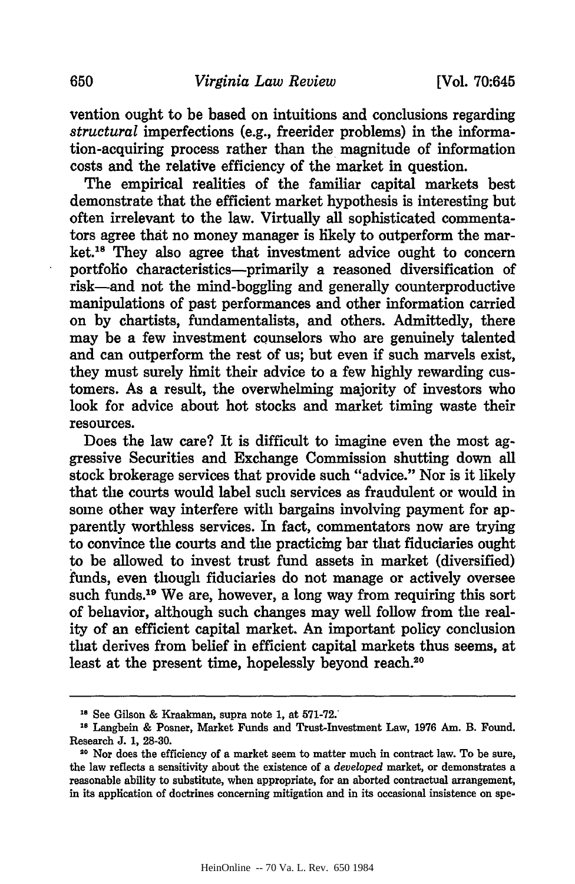vention ought to be based on intuitions and conclusions regarding *structural* imperfections (e.g., freerider problems) in the information-acquiring process rather than the magnitude of information costs and the relative efficiency of the market in question.

The empirical realities of the familiar capital markets best demonstrate that the efficient market hypothesis is interesting but often irrelevant to the law. Virtually all sophisticated commentators agree that no money manager is likely to outperform the market.<sup>18</sup> They also agree that investment advice ought to concern portfolio characteristics-primarily a reasoned diversification of risk-and not the mind-boggling and generally counterproductive manipulations of past performances and other information carried on **by** chartists, fundamentalists, and others. Admittedly, there may be a few investment counselors who are genuinely talented and can outperform the rest of us; but even if such marvels exist, they must surely limit their advice to a few **highly** rewarding customers. As a result, the overwhelming majority of investors who look for advice about hot stocks and market timing waste their resources.

Does the law care? It is difficult to imagine even the most aggressive Securities and Exchange Commission shutting down all stock brokerage services that provide such "advice." Nor is it likely that the courts would label such services as fraudulent or would in some other way interfere with bargains involving payment for apparently worthless services. In fact, commentators now are trying to convince the courts and the practicing bar that fiduciaries ought to be allowed to invest trust fund assets in market (diversified) funds, even though fiduciaries do not manage or actively oversee such funds.<sup>19</sup> We are, however, a long way from requiring this sort of behavior, although such changes may **well** follow from the reality of an efficient capital market. An important policy conclusion that derives from belief in efficient capital markets thus seems, at least at the present time, hopelessly beyond reach.<sup>20</sup>

**<sup>18</sup>** See Gilson & Kraakman, supra note **1,** at **571-72.'**

**<sup>18</sup>** Langbein & Posner, Market Funds and Trust-Investment Law, **1976** Am. B. Found. Research J. 1, **28-30.**

<sup>&</sup>lt;sup>20</sup> Nor does the efficiency of a market seem to matter much in contract law. To be sure, the law reflects a sensitivity about the existence of a *developed* market, or demonstrates a reasonable ability to substitute, when appropriate, for an aborted contractual arrangement, in its application of doctrines concerning mitigation and in its occasional insistence on spe-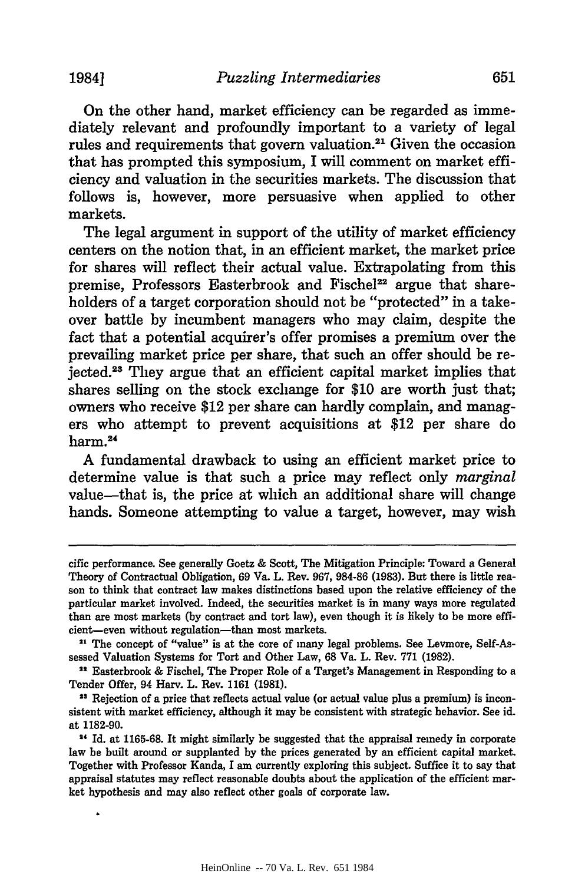On the other hand, market efficiency can be regarded as immediately relevant and profoundly important to a variety of legal rules and requirements that govern valuation.<sup>21</sup> Given the occasion that has prompted this symposium, I will comment on market efficiency and valuation in the securities markets. The discussion that follows is, however, more persuasive when applied to other markets.

The legal argument in support of the utility of market efficiency centers on the notion that, in an efficient market, the market price for shares will reflect their actual value. Extrapolating from this premise, Professors Easterbrook and Fischel<sup>22</sup> argue that shareholders of a target corporation should not be "protected" in a takeover battle by incumbent managers who may claim, despite the fact that a potential acquirer's offer promises a premium over the prevailing market price per share, that such an offer should be rejected.2s They argue that an efficient capital market implies that shares selling on the stock excliange for \$10 are worth just that; owners who receive \$12 per share can hardly complain, and managers who attempt to prevent acquisitions at \$12 per share do harm.<sup>24</sup>

A fundamental drawback to using an efficient market price to determine value is that such a price may reflect only *marginal* value-that is, the price at which an additional share will change hands. Someone attempting to value a target, however, may wish

cific performance. See generally Goetz & Scott, The Mitigation Principle: Toward a General Theory of Contractual Obligation, **69** Va. L. Rev. **967, 984-86 (1983).** But there is little reason to think that contract law makes distinctions based upon the relative efficiency of the particular market involved. Indeed, the securities market is in many ways more regulated than are most markets **(by** contract and tort law), even though it is likely to be more efficient-even without regulation-than most markets.

<sup>21</sup> The concept of "value" is at the core of many legal problems. See Levmore, Self-Assessed Valuation Systems for Tort and Other Law, **68** Va. L. Rev. **771 (1982).**

<sup>22</sup> Easterbrook & Fischel, The Proper Role of a Target's Management in Responding to a Tender Offer, 94 Harv. L. Rev. **1161 (1981).**

**<sup>23</sup>** Rejection of a price that reflects actual value (or actual value plus a premium) is inconsistent with market efficiency, although it may be consistent with strategic behavior. See id. at **1182-90.**

<sup>&</sup>lt;sup>24</sup> Id. at 1165-68. It might similarly be suggested that the appraisal remedy in corporate law be built around or supplanted **by** the prices generated **by** an efficient capital market. Together with Professor Kanda, I am currently exploring this subject. Suffice it to say that appraisal statutes may reflect reasonable doubts about the application of the efficient market hypothesis and may also reflect other goals of corporate law.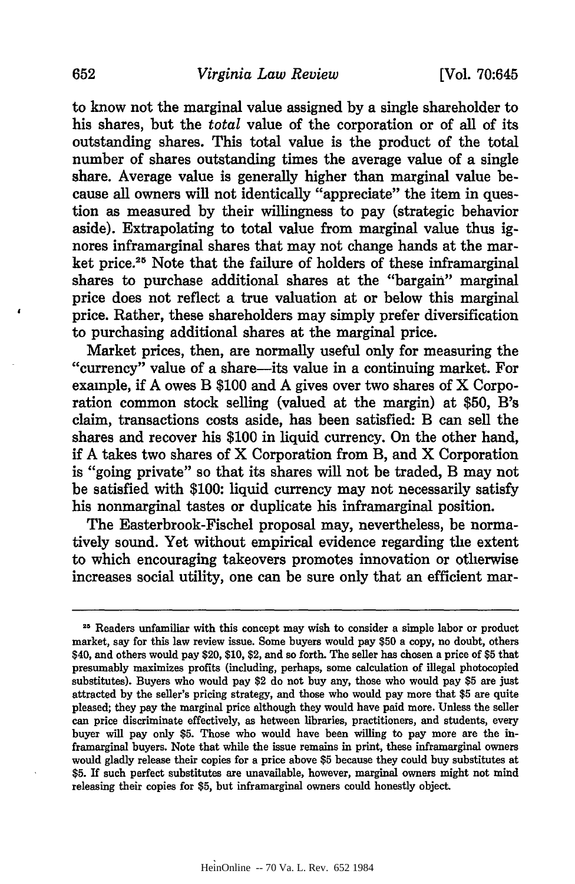to know not the marginal value assigned by a single shareholder to his shares, but the *total* value of the corporation or of all of its outstanding shares. This total value is the product of the total number of shares outstanding times the average value of a single share. Average value is generally higher than marginal value because all owners will not identically "appreciate" the item in question as measured by their willingness to pay (strategic behavior aside). Extrapolating to total value from marginal value thus ignores inframarginal shares that may not change hands at the market price.<sup>25</sup> Note that the failure of holders of these inframarginal shares to purchase additional shares at the "bargain" marginal price does not reflect a true valuation at or below this marginal price. Rather, these shareholders may simply prefer diversification to purchasing additional shares at the marginal price.

Market prices, then, are normally useful only for measuring the "currency" value of a share-its value in a continuing market. For example, if A owes B \$100 and A gives over two shares of X Corporation common stock selling (valued at the margin) at \$50, B's claim, transactions costs aside, has been satisfied: B can sell the shares and recover his \$100 in liquid currency. On the other hand, if A takes two shares of X Corporation from B, and X Corporation is "going private" so that its shares will not be traded, B may not be satisfied with \$100: liquid currency may not necessarily satisfy his nonmarginal tastes or duplicate his inframarginal position.

The Easterbrook-Fischel proposal may, nevertheless, be normatively sound. Yet without empirical evidence regarding the extent to which encouraging takeovers promotes innovation or otherwise increases social utility, one can be sure only that an efficient mar-

**<sup>25</sup>**Readers unfamiliar with this concept may wish to consider a simple labor or product market, say for this law review issue. Some buyers would pay **\$50** a copy, no doubt, others \$40, and others would pay \$20, \$10, \$2, and so forth. The seller has chosen a price of \$5 that presumably maximizes profits (including, perhaps, some calculation of illegal photocopied substitutes). Buyers who would pay \$2 do not buy any, those who would pay \$5 are just attracted by the seller's pricing strategy, and those who would pay more that \$5 are quite pleased; they pay the marginal price although they would have paid more. Unless the seller can price discriminate effectively, as between libraries, practitioners, and students, every buyer will pay only **\$5.** Those who would have been willing to pay more are the inframarginal buyers. Note that while the issue remains in print, these inframarginal owners would gladly release their copies for a price above **\$5** because they could buy substitutes at **\$5.** If such perfect substitutes are unavailable, however, marginal owners might not mind releasing their copies for **\$5,** but inframarginal owners could honestly object.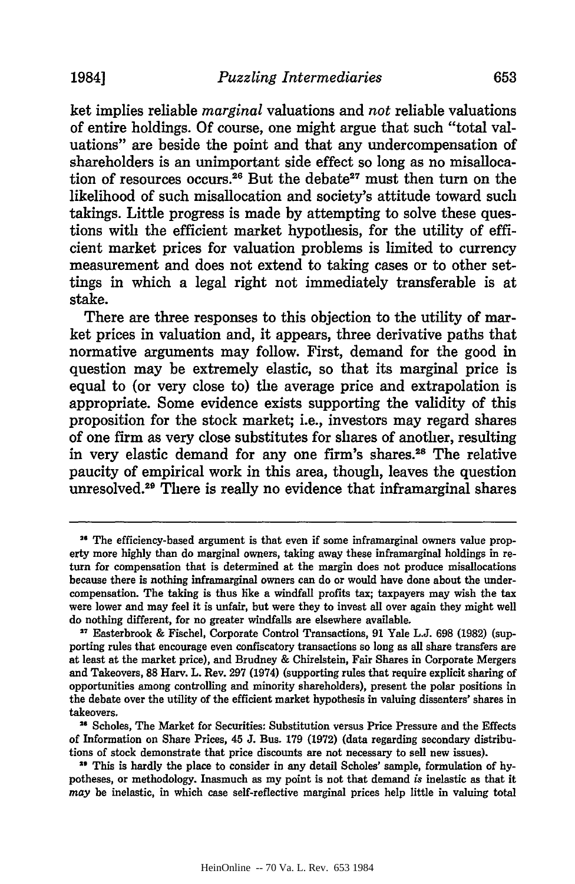ket implies reliable *marginal* valuations and *not* reliable valuations of entire holdings. **Of** course, one might argue that such "total valuations" are beside the point and that any undercompensation of shareholders is an unimportant side effect so long as no misallocation of resources occurs.<sup>26</sup> But the debate<sup>27</sup> must then turn on the likelihood of such misallocation and society's attitude toward such takings. Little progress is made **by** attempting to solve these questions with the efficient market hypothesis, for the utility of efficient market prices for valuation problems is limited to currency measurement and does not extend to taking cases or to other settings in which a legal right not immediately transferable is at stake.

There are three responses to this objection to the utility of market prices in valuation and, it appears, three derivative paths that normative arguments may follow. First, demand for the good in question may be extremely elastic, so that its marginal price is equal to (or very close to) the average price and extrapolation is appropriate. Some evidence exists supporting the validity of this proposition for the stock market; i.e., investors may regard shares of one firm as very close substitutes for shares of another, resulting in very elastic demand for any one firm's shares.<sup>28</sup> The relative paucity of empirical work in this area, though, leaves the question unresolved.<sup>29</sup> There is really no evidence that inframarginal shares

<sup>&</sup>lt;sup>26</sup> The efficiency-based argument is that even if some inframarginal owners value property more **highly** than do marginal owners, taking away these inframarginal holdings in return for compensation that is determined at the margin does not produce misallocations because there is nothing inframarginal owners can do or would have done about the undercompensation. The taking is thus like a windfall profits tax; taxpayers may wish the tax were lower and may feel it is unfair, but were they to invest all over again they might well do nothing different, for no greater windfalls are elsewhere available.

**<sup>27</sup>** Easterbrook **&** Fischel, Corporate Control Transactions, **91** Yale **L.J. 698 (1982) (sup**porting rules that encourage even confiscatory transactions so long as all share transfers are at least at the market price), and Brudney **&** Chirelstein, Fair Shares in Corporate Mergers and Takeovers, **88** Harv. L. Rev. **297** (1974) (supporting rules that require explicit sharing of opportunities among controlling and minority shareholders), present the polar positions in the debate over the utility of the efficient market hypothesis in valuing dissenters' shares in takeovers.

**<sup>&</sup>quot;** Scholes, The Market for Securities: Substitution versus Price Pressure and the Effects of Information on Share Prices, 45 **J.** Bus. **179 (1972)** (data regarding secondary distributions of stock demonstrate that price discounts are not necessary to sell new issues).

**<sup>&</sup>quot;** This is hardly the place to consider in any detail Scholes' sample, formulation of **hy**potheses, or methodology. Inasmuch as my point is not that demand is inelastic as that it *may* be inelastic, in which case self-reflective marginal prices help little in valuing total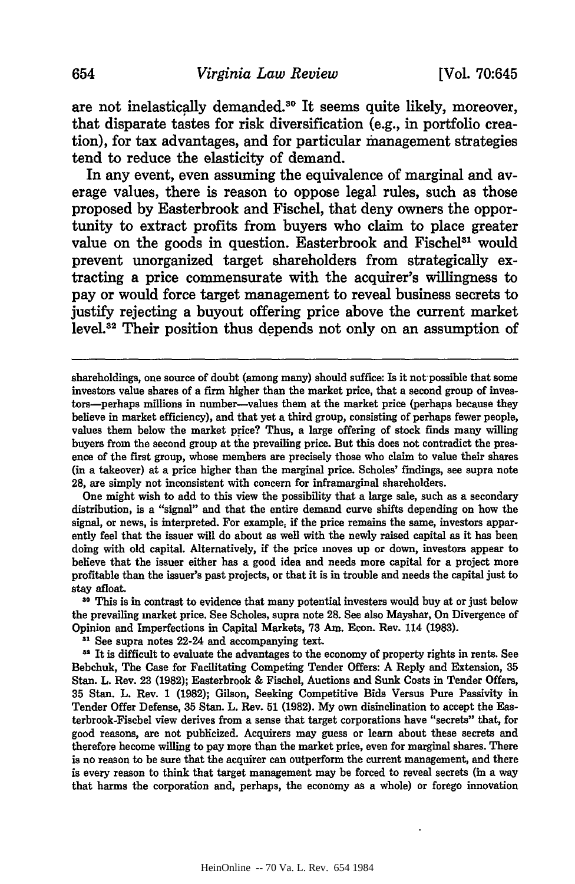are not inelastically demanded.30 It seems quite likely, moreover, that disparate tastes for risk diversification (e.g., in portfolio creation), for tax advantages, and for particular management strategies tend to reduce the elasticity of demand.

In any event, even assuming the equivalence of marginal and average values, there is reason to oppose legal rules, such as those proposed by Easterbrook and Fischel, that deny owners the opportunity to extract profits from buyers who claim to place greater value on the goods in question. Easterbrook and Fischel<sup>31</sup> would prevent unorganized target shareholders from strategically extracting a price commensurate with the acquirer's willingness to pay or would force target management to reveal business secrets to justify rejecting a buyout offering price above the current market level.<sup>32</sup> Their position thus depends not only on an assumption of

One might wish to add to this view the possibility that a large sale, such as a secondary distribution, is a "signal" and that the entire demand curve shifts depending on how the signal, or news, is interpreted. For example: if the price remains the same, investors apparently feel that the issuer will do about as well with the newly raised capital as it has been doing with old capital. Alternatively, if the price moves up or down, investors appear to believe that the issuer either has a good idea and needs more capital for a project more profitable than the issuer's past projects, or that it is in trouble and needs the capital just to stay afloat.

**<sup>30</sup>**This is in contrast to evidence that many potential investors would buy at or **just** below the prevailing market price. See Scholes, supra note **28.** See also Mayshar, On Divergence of Opinion and Imperfections in Capital Markets, **73 Am.** Econ. Rev. 114 **(1983).**

**<sup>31</sup>**See supra notes 22-24 and accompanying text.

**<sup>31</sup>**It is difficult to evaluate the advantages to the economy of property rights in rents. See Bebchuk, The Case for Facilitating Competing Tender Offers: **A** Reply and Extension, **35** Stan. L. Rev. **23 (1982);** Easterbrook **&** Fischel, Auctions and Sunk Costs in Tender Offers, **35** Stan. L. Rev. **1 (1982);** Gilson, Seeking Competitive Bids Versus Pure Passivity in Tender Offer Defense, **35** Stan. L. Rev. **51 (1982). My** own disinclination to accept the Easterbrook-Fischel view derives from a sense that target corporations have "secrets" that, for good reasons, are not publicized. Acquirers may guess or learn about these secrets and therefore become willing to pay more than the market price, even for marginal shares. There is no reason to be sure that the acquirer can outperform the current management, and there is every reason to think that target management may be forced to reveal secrets (in a way that harms the corporation and, perhaps, the economy as a whole) or forego innovation

shareholdings, one source of doubt (among many) should suffice: Is it not-possible that some investors value shares of a firm higher than the market price, that a second group of investors-perhaps millions in number-values them at the market price (perhaps because they believe in market efficiency), and that yet a third group, consisting of perhaps fewer people, values them below the market price? Thus, a large offering of stock finds many willing buyers from the second group at the prevailing price. But this does not contradict the presence of the first group, whose members are precisely those who claim to value their shares (in a takeover) at a price higher than the marginal price. Scholes' findings, see supra note **28,** are simply not inconsistent with concern for inframarginal shareholders.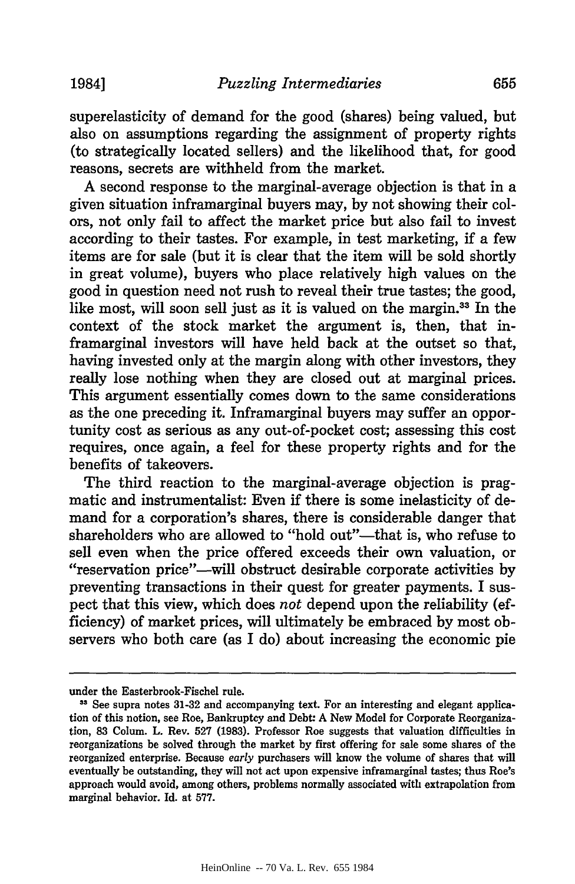superelasticity of demand for the good (shares) being valued, but also on assumptions regarding the assignment of property rights (to strategically located sellers) and the likelihood that, for good reasons, secrets are withheld from the market.

A second response to the marginal-average objection is that in a given situation inframarginal buyers may, **by** not showing their colors, not only fail to affect the market price but also fail to invest according to their tastes. For example, in test marketing, **if** a few items are for sale (but it is clear that the item will be sold shortly in great volume), buyers who place relatively high values on the good in question need not rush to reveal their true tastes; the good, like most, will soon sell just as it is valued on the margin.<sup>33</sup> In the context of the stock market the argument is, then, that inframarginal investors will have held back at the outset so that, having invested only at the margin along with other investors, they really lose nothing when they are closed out at marginal prices. This argument essentially comes down to the same considerations as the one preceding it. Inframarginal buyers may suffer an opportunity cost as serious as any out-of-pocket cost; assessing this cost requires, once again, a feel for these property rights and for the benefits of takeovers.

The third reaction to the marginal-average objection is pragmatic and instrumentalist: Even if there is some inelasticity of demand for a corporation's shares, there is considerable danger that shareholders who are allowed to "hold out"-that is, who refuse to sell even when the price offered exceeds their own valuation, or "reservation price"-will obstruct desirable corporate activities **by** preventing transactions in their quest for greater payments. I suspect that this view, which does *not* depend upon the reliability (efficiency) of market prices, will ultimately be embraced **by** most observers who both care (as I do) about increasing the economic pie

under the Easterbrook-Fischel rule.

**<sup>33</sup>** See supra notes **31-32** and accompanying text. For an interesting and elegant application of this notion, see Roe, Bankruptcy and Debt: **A** New Model for Corporate Reorganization, **83** Colum. L. Rev. **527 (1983).** Professor Roe suggests that valuation difficulties in reorganizations be solved through the market **by** first offering for sale some shares of the reorganized enterprise. Because *early* purchasers will know the volume of shares that **will** eventually be outstanding, they will not act upon expensive inframarginal tastes; thus Roe's approach would avoid, among others, problems normally associated with extrapolation from marginal behavior. Id. at 577.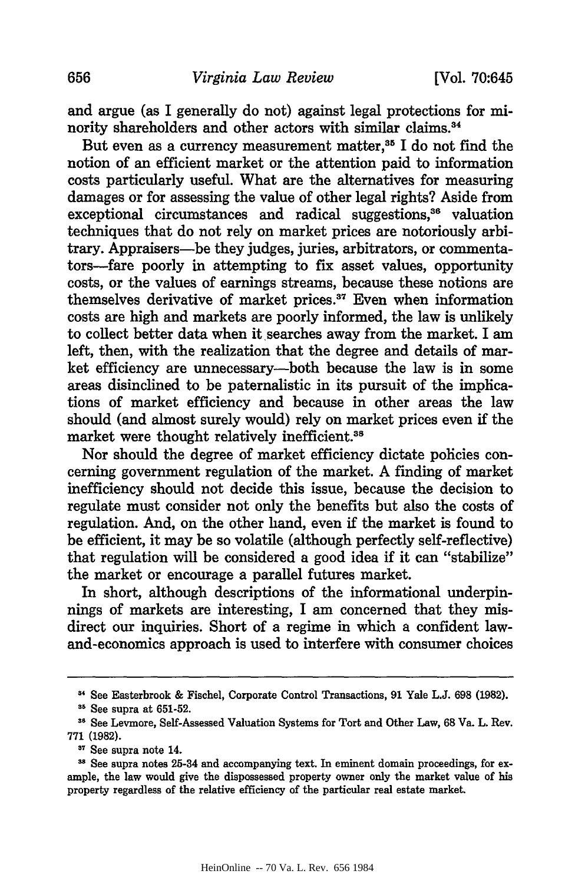and argue (as I generally do not) against legal protections for minority shareholders and other actors with similar claims.<sup>34</sup>

But even as a currency measurement matter,<sup>35</sup> I do not find the notion of an efficient market or the attention paid to information costs particularly useful. What are the alternatives for measuring damages or for assessing the value of other legal rights? Aside from exceptional circumstances and radical suggestions,<sup>36</sup> valuation techniques that do not rely on market prices are notoriously arbitrary. Appraisers-be they judges, juries, arbitrators, or commentators-fare poorly in attempting to fix asset values, opportunity costs, or the values of earnings streams, because these notions are themselves derivative of market prices.37 Even when information costs are high and markets are poorly informed, the law is unlikely to collect better data when it searches away from the market. I am left, then, with the realization that the degree and details of market efficiency are unnecessary-both because the law is in some areas disinclined to be paternalistic in its pursuit of the implications of market efficiency and because in other areas the law should (and almost surely would) rely on market prices even if the market were thought relatively inefficient.<sup>38</sup>

Nor should the degree of market efficiency dictate policies concerning government regulation of the market. A finding of market inefficiency should not decide this issue, because the decision to regulate must consider not only the benefits but also the costs of regulation. And, on the other hand, even if the market is found to be efficient, it may be so volatile (although perfectly self-reflective) that regulation will be considered a good idea if it can "stabilize" the market or encourage a parallel futures market.

In short, although descriptions of the informational underpinnings of markets are interesting, I am concerned that they misdirect our inquiries. Short of a regime in which a confident lawand-economics approach is used to interfere with consumer choices

See Easterbrook & Fischel, Corporate Control Transactions, **91** Yale **L.J. 698 (1982).**

**<sup>:5</sup>** See supra at 651-52.

**<sup>&#</sup>x27;6** See Levmore, Self-Assessed Valuation Systems for Tort and Other Law, 68 Va. L. Rev. **771** (1982).

**<sup>37</sup>**See supra note 14.

**<sup>38</sup>** See supra notes 25-34 and accompanying text. In eminent domain proceedings, for example, the law would give the dispossessed property owner only the market value of his property regardless of the relative efficiency of the particular real estate market.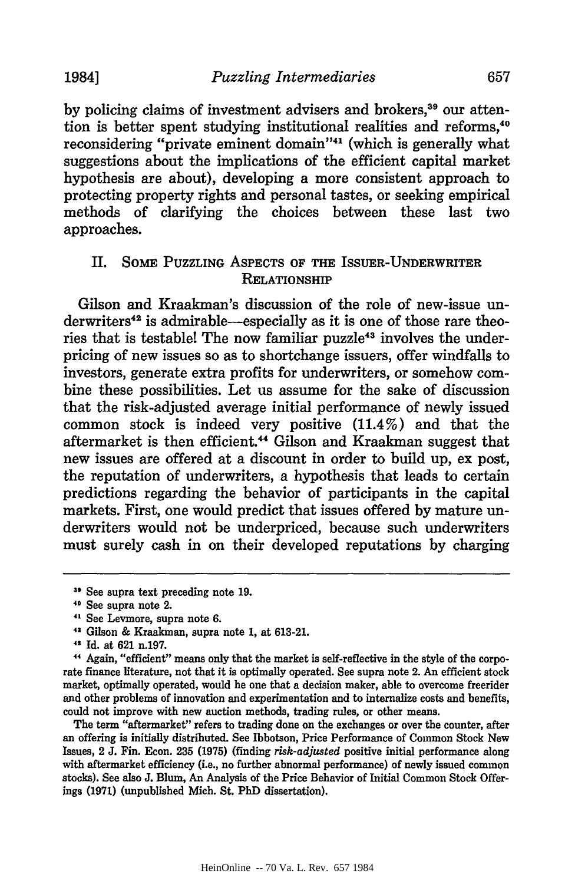by policing claims of investment advisers and brokers,<sup>39</sup> our attention is better spent studying institutional realities and reforms, <sup>40</sup> reconsidering "private eminent domain"<sup>41</sup> (which is generally what suggestions about the implications of the efficient capital market hypothesis are about), developing a more consistent approach to protecting property rights and personal tastes, or seeking empirical methods of clarifying the choices between these last two approaches.

## II. **SOME PUZZLING** ASPECTS **OF THE ISSUER-UNDERWRITER RELATIONSHIP**

Gilson and Kraakman's discussion of the role of new-issue underwriters<sup>42</sup> is admirable—especially as it is one of those rare theories that is testable! The now familiar puzzle<sup>43</sup> involves the underpricing of new issues so as to shortchange issuers, offer windfalls to investors, generate extra profits for underwriters, or somehow combine these possibilities. Let us assume for the sake of discussion that the risk-adjusted average initial performance of newly issued common stock is indeed very positive (11.4%) and that the aftermarket is then efficient.<sup>44</sup> Gilson and Kraakman suggest that new issues are offered at a discount in order to build up, ex post, the reputation of underwriters, a hypothesis that leads to certain predictions regarding the behavior of participants in the capital markets. First, one would predict that issues offered **by** mature underwriters would not be underpriced, because such underwriters must surely cash in on their developed reputations **by** charging

**<sup>42</sup>**Gilson **&** Kraakman, supra note **1,** at **613-21.**

an offering is initially distributed. See Ibbotson, Price Performance of Common Stock New Issues, 2 **J.** Fin. Econ. **235 (1975)** (finding *risk-adjusted* positive initial performance along with aftermarket efficiency (i.e., no further abnormal performance) of newly issued common stocks). See also **J.** Blum, An Analysis of the Price Behavior of Initial Common Stock Offerings **(1971)** (unpublished Mich. St. PhD dissertation).

**<sup>&</sup>quot;** See supra text preceding note **19.**

**<sup>40</sup>** See supra note 2.

<sup>41</sup>See Levmore, supra note **6.**

<sup>43</sup>**Id.** at **621** n.197.

**<sup>44</sup>** Again, "efficient" means only that the market is self-reflective in the style of the corporate finance literature, not that it is optimally operated. See supra note 2. An efficient stock market, optimally operated, would be one that a decision maker, able to overcome freerider and other problems of innovation and experimentation and to internalize costs and benefits, could not improve with new auction methods, trading rules, or other means. The term "aftermarket" refers to trading done on the exchanges or over the counter, after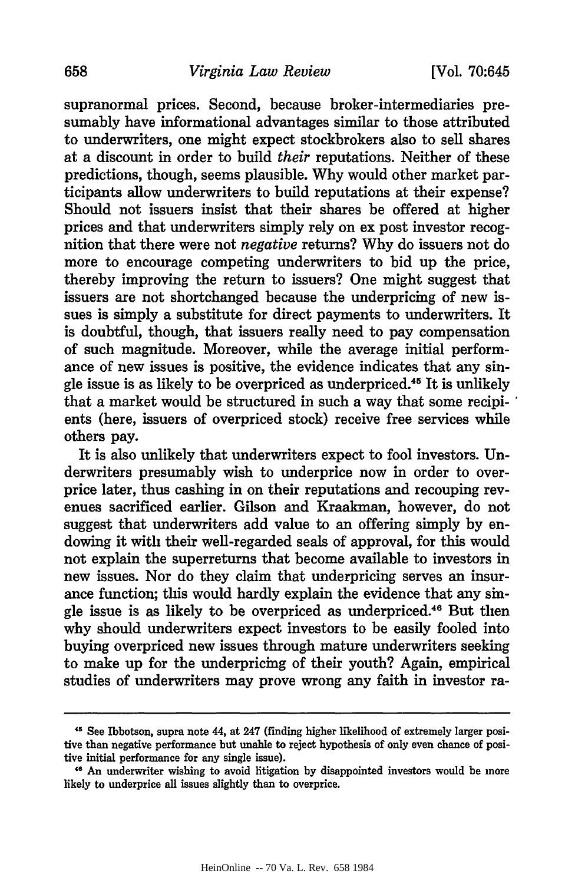supranormal prices. Second, because broker-intermediaries presumably have informational advantages similar to those attributed to underwriters, one might expect stockbrokers also to sell shares at a discount in order to build *their* reputations. Neither of these predictions, though, seems plausible. Why would other market participants allow underwriters to build reputations at their expense? Should not issuers insist that their shares be offered at higher prices and that underwriters simply rely on ex post investor recognition that there were not *negative* returns? Why do issuers not do more to encourage competing underwriters to bid up the price, thereby improving the return to issuers? One might suggest that issuers are not shortchanged because the underpricing of new issues is simply a substitute for direct payments to underwriters. It is doubtful, though, that issuers really need to pay compensation of such magnitude. Moreover, while the average initial performance of new issues is positive, the evidence indicates that any single issue is as likely to be overpriced as underpriced.45 It is unlikely that a market would be structured in such a way that some recipients (here, issuers of overpriced stock) receive free services while others pay.

It is also unlikely that underwriters expect to fool investors. Underwriters presumably wish to underprice now in order to overprice later, thus cashing in on their reputations and recouping revenues sacrificed earlier. Gilson and Kraakman, however, do not suggest that underwriters add value to an offering simply by endowing it with their well-regarded seals of approval, for this would not explain the superreturns that become available to investors in new issues. Nor do they claim that underpricing serves an insurance function; this would hardly explain the evidence that any single issue is as likely to be overpriced as underpriced.<sup>46</sup> But then why should underwriters expect investors to be easily fooled into buying overpriced new issues through mature underwriters seeking to make up for the underpricing of their youth? Again, empirical studies of underwriters may prove wrong any faith in investor ra-

<sup>45</sup> See Ibbotson, supra note 44, at 247 (finding higher likelihood of extremely larger positive than negative performance but unable to reject hypothesis of only even chance of positive initial performance for any single issue).

**<sup>4</sup>s** An underwriter wishing to avoid litigation **by** disappointed investors would be more likely to underprice all issues slightly than to overprice.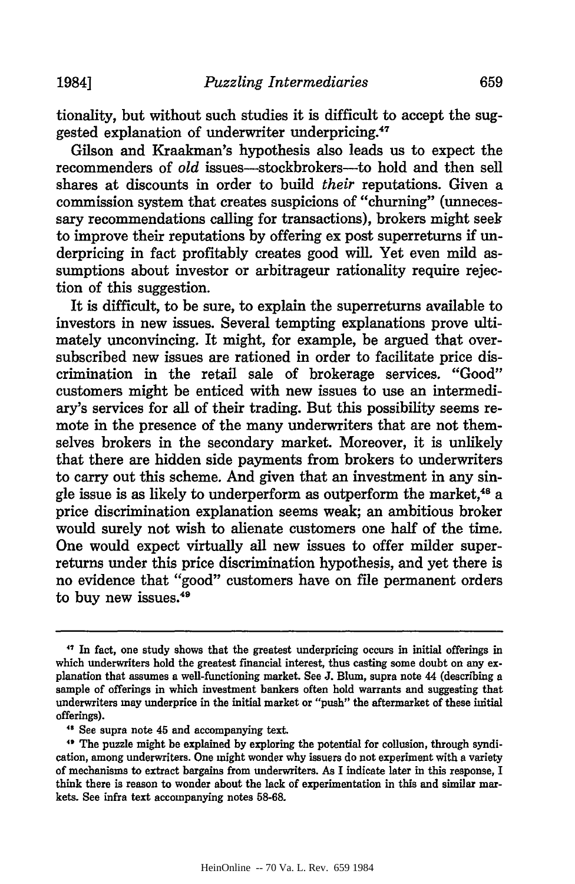tionality, but without such studies it is difficult to accept the suggested explanation of underwriter underpricing.<sup>47</sup>

Gilson and Kraakman's hypothesis also leads us to expect the recommenders of *old* issues-stockbrokers--to hold and then sell shares at discounts in order to build *their* reputations. Given a commission system that creates suspicions of "churning" (unnecessary recommendations calling for transactions), brokers might seek to improve their reputations by offering ex post superreturns if underpricing in fact profitably creates good will. Yet even mild assumptions about investor or arbitrageur rationality require rejection of this suggestion.

It is difficult, to be sure, to explain the superreturns available to investors in new issues. Several tempting explanations prove ultimately unconvincing. It might, for example, be argued that oversubscribed new issues are rationed in order to facilitate price discrimination in the retail sale of brokerage services. "Good" customers might be enticed with new issues to use an intermediary's services for all of their trading. But this possibility seems remote in the presence of the many underwriters that are not themselves brokers in the secondary market. Moreover, it is unlikely that there are hidden side payments from brokers to underwriters to carry out this scheme. And given that an investment in any single issue is as likely to underperform as outperform the market.<sup>48</sup> a price discrimination explanation seems weak; an ambitious broker would surely not wish to alienate customers one half of the time. One would expect virtually all new issues to offer milder superreturns under this price discrimination hypothesis, and yet there is no evidence that "good" customers have on file permanent orders to buy new issues.<sup>49</sup>

<sup>47</sup> In fact, one study shows that the greatest underpricing occurs in initial offerings in which underwriters hold the greatest financial interest, thus casting some doubt on any explanation that assumes a well-functioning market. See **J.** Blum, supra note 44 (describing a sample of offerings in which investment bankers often hold warrants and suggesting that underwriters may underprice in the initial market or "push" the aftermarket of these initial offerings).

**<sup>48</sup>** See supra note 45 and accompanying text.

<sup>4&#</sup>x27; The puzzle might be explained **by** exploring the potential for collusion, through syndication, among underwriters. One might wonder why issuers do not experiment with a variety of mechanisms to extract bargains from underwriters. As I indicate later in this response, I think there is reason to wonder about the lack of experimentation in this and similar markets. See infra text accompanying notes **58-68.**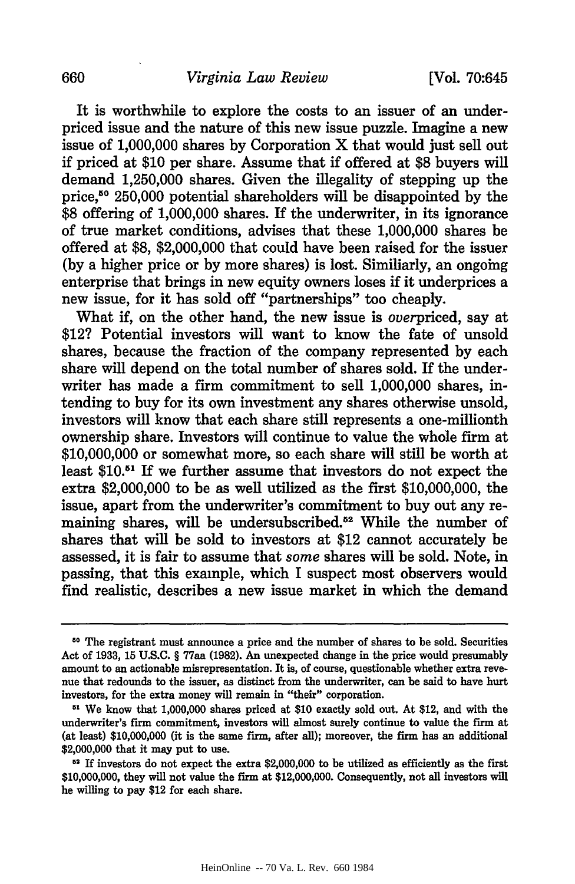It is worthwhile to explore the costs to an issuer of an underpriced issue and the nature of this new issue puzzle. Imagine a new issue of 1,000,000 shares by Corporation X that would just sell out if priced at \$10 per share. Assume that if offered at \$8 buyers will demand 1,250,000 shares. Given the illegality of stepping up the price, 50 250,000 potential shareholders will be disappointed by the \$8 offering of 1,000,000 shares. If the underwriter, in its ignorance of true market conditions, advises that these 1,000,000 shares be offered at \$8, \$2,000,000 that could have been raised for the issuer (by a higher price or by more shares) is lost. Similiarly, an ongoing enterprise that brings in new equity owners loses if it underprices a new issue, for it has sold off "partnerships" too cheaply.

What if, on the other hand, the new issue is overpriced, say at \$12? Potential investors will want to know the fate of unsold shares, because the fraction of the company represented by each share will depend on the total number of shares sold. If the underwriter has made a firm commitment to sell 1,000,000 shares, intending to buy for its own investment any shares otherwise unsold, investors will know that each share still represents a one-millionth ownership share. Investors will continue to value the whole firm at \$10,000,000 or somewhat more, so each share will still be worth at least **\$10.51** If we further assume that investors do not expect the extra \$2,000,000 to be as well utilized as the first \$10,000,000, the issue, apart from the underwriter's commitment to buy out any remaining shares, will be undersubscribed.<sup>52</sup> While the number of shares that will be sold to investors at \$12 cannot accurately be assessed, it is fair to assume that *some* shares will be sold. Note, in passing, that this example, which I suspect most observers would find realistic, describes a new issue market in which the demand

**<sup>50</sup>**The registrant must announce a price and the number of shares to be sold. Securities Act of **1933, 15 U.S.C.** § 77aa **(1982).** An unexpected change in the price would presumably amount to an actionable misrepresentation. It is, of course, questionable whether extra revenue that redounds to the issuer, as distinct from the underwriter, can be said to have hurt investors, for the extra money will remain in "their" corporation.

**<sup>51</sup>**We know that **1,000,000** shares priced at **\$10** exactly sold out. At \$12, and with the underwriter's firm commitment, investors will almost surely continue to value the **firm** at (at least) **\$10,000,000** (it is the same *firm,* after all); moreover, the firm has an additional \$2,000,000 that it may put to use.

**<sup>52</sup>**If investors do not expect the extra \$2,000,000 to be utilized as efficiently as the first **\$10,000,000,** they will not value the firm at \$12,000,000. Consequently, not all investors will be willing to pay \$12 for each share.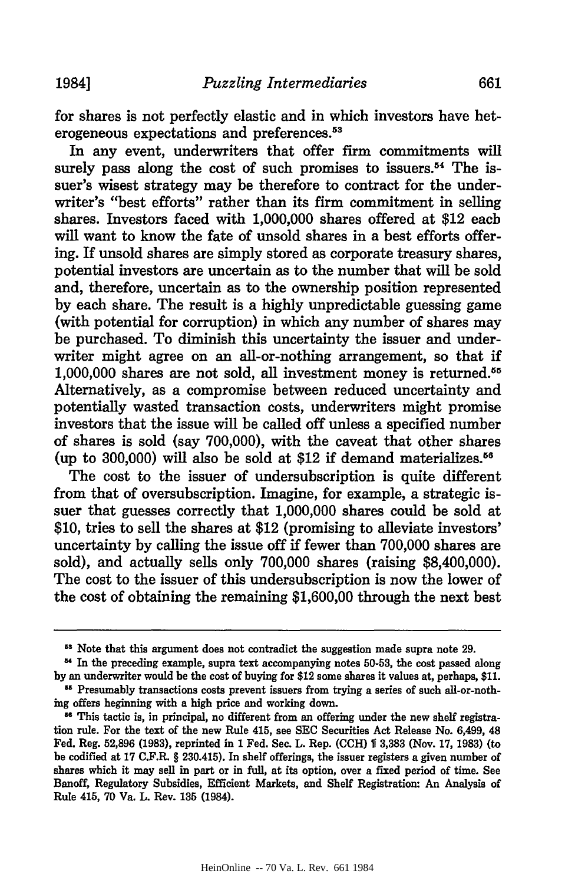for shares is not perfectly elastic and in which investors have heterogeneous expectations and preferences.<sup>53</sup>

In any event, underwriters that offer firm commitments will surely pass along the cost of such promises to issuers.<sup>54</sup> The issuer's wisest strategy may be therefore to contract for the underwriter's "best efforts" rather than its firm commitment in selling shares. Investors faced with 1,000,000 shares offered at \$12 each will want to know the fate of unsold shares in a best efforts offering. If unsold shares are simply stored as corporate treasury shares, potential investors are uncertain as to the number that will be sold and, therefore, uncertain as to the ownership position represented by each share. The result is a highly unpredictable guessing game (with potential for corruption) in which any number of shares may be purchased. To diminish this uncertainty the issuer and underwriter might agree on an all-or-nothing arrangement, so that if  $1,000,000$  shares are not sold, all investment money is returned.<sup>55</sup> Alternatively, as a compromise between reduced uncertainty and potentially wasted transaction costs, underwriters might promise investors that the issue will be called off unless a specified number of shares is sold (say 700,000), with the caveat that other shares (up to  $300,000$ ) will also be sold at \$12 if demand materializes.<sup>56</sup>

The cost to the issuer of undersubscription is quite different from that of oversubscription. Imagine, for example, a strategic issuer that guesses correctly that 1,000,000 shares could be sold at \$10, tries to sell the shares at \$12 (promising to alleviate investors' uncertainty by calling the issue off if fewer than 700,000 shares are sold), and actually sells only **700,000** shares (raising \$8,400,000). The cost to the issuer of this undersubscription is now the lower of the cost of obtaining the remaining **\$1,600,00** through the next best

**<sup>&</sup>quot;** Note that this argument does not contradict the suggestion made supra note **29.**

In the preceding example, supra text accompanying notes **50-53,** the cost passed along **by** an underwriter would be the cost of buying for \$12 some shares it values at, perhaps, **\$11.**

**<sup>55</sup>** Presumably transactions costs prevent issuers from trying a series of such all-or-nothing offers beginning with a high price and working down.

<sup>&</sup>lt;sup>56</sup> This tactic is, in principal, no different from an offering under the new shelf registration rule. For the text of the new Rule 415, see **SEC** Securities Act Release No. 6,499, 48 Fed. Reg. **52,896 (1983),** reprinted in **1** Fed. Sec. L. Rep. **(CCH) 3,383** (Nov. **17, 1983)** (to be codified at **17** C.F.R. § 230.415). In shelf offerings, the issuer registers a given number of shares which it may sell in part or in full, at its option, over a fixed period of time. See Banoff, Regulatory Subsidies, Efficient Markets, and Shelf Registration: An Analysis of Rule 415, **70** Va. L. Rev. **135** (1984).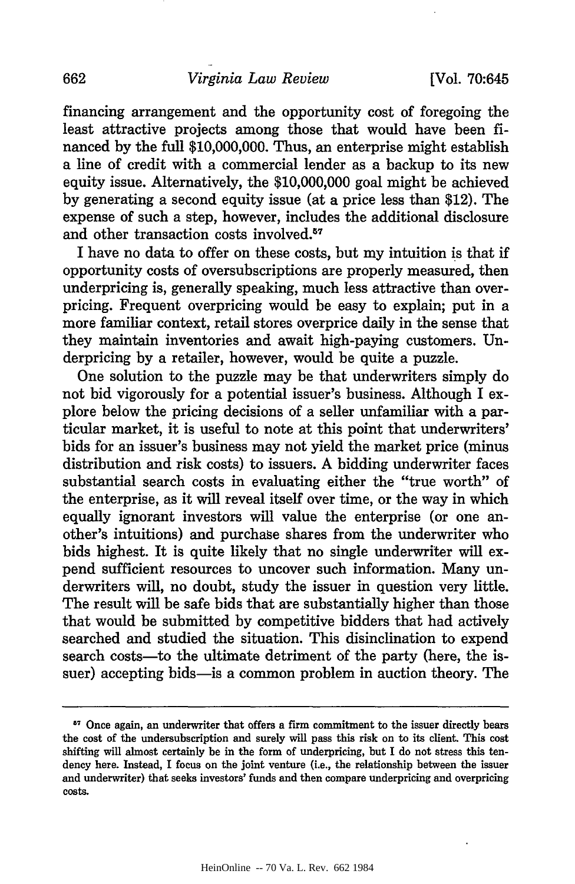# *Virginia Law Review* **662** [Vol. **70:645**

financing arrangement and the opportunity cost of foregoing the least attractive projects among those that would have been financed by the full \$10,000,000. Thus, an enterprise might establish a line of credit with a commercial lender as a backup to its new equity issue. Alternatively, the \$10,000,000 goal might be achieved by generating a second equity issue (at a price less than \$12). The expense of such a step, however, includes the additional disclosure and other transaction costs involved.<sup>57</sup>

I have no data to offer on these costs, but my intuition is that if opportunity costs of oversubscriptions are properly measured, then underpricing is, generally speaking, much less attractive than overpricing. Frequent overpricing would be easy to explain; put in a more familiar context, retail stores overprice daily in the sense that they maintain inventories and await high-paying customers. Underpricing by a retailer, however, would be quite a puzzle.

One solution to the puzzle may be that underwriters simply do not bid vigorously for a potential issuer's business. Although I explore below the pricing decisions of a seller unfamiliar with a particular market, it is useful to note at this point that underwriters' bids for an issuer's business may not yield the market price (minus distribution and risk costs) to issuers. A bidding underwriter faces substantial search costs in evaluating either the "true worth" of the enterprise, as it will reveal itself over time, or the way in which equally ignorant investors will value the enterprise (or one another's intuitions) and purchase shares from the underwriter who bids highest. It is quite likely that no single underwriter will expend sufficient resources to uncover such information. Many underwriters will, no doubt, study the issuer in question very little. The result will be safe bids that are substantially higher than those that would be submitted by competitive bidders that had actively searched and studied the situation. This disinclination to expend search costs—to the ultimate detriment of the party (here, the issuer) accepting bids—is a common problem in auction theory. The

**<sup>57</sup>**Once again, an underwriter that offers a firm commitment to the issuer directly bears the cost of the undersubscription and surely will pass this risk on to its client. This cost shifting will almost certainly be in the form of underpricing, but I do not stress this tendency here. Instead, I focus on the joint venture (i.e., the relationship between the issuer and underwriter) that seeks investors' funds and then compare underpricing and overpricing costs.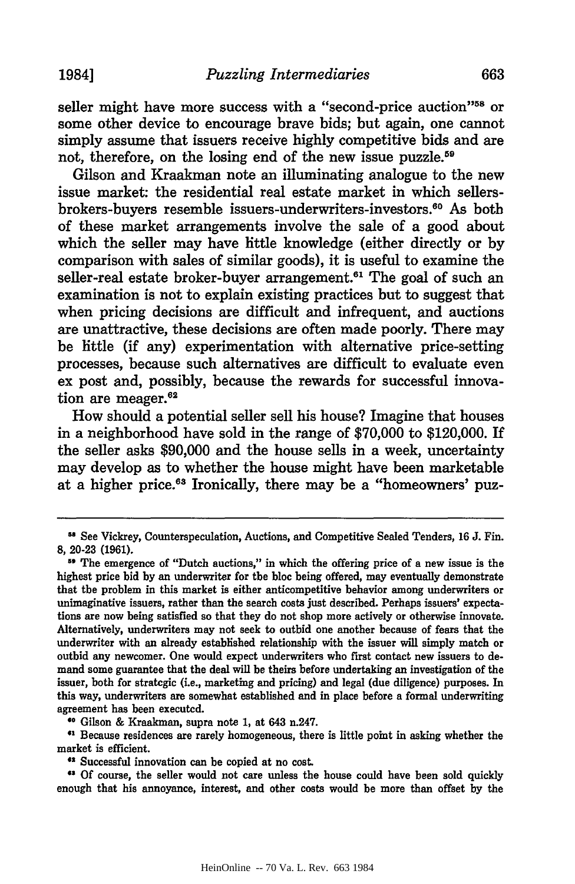seller might have more success with a "second-price auction"<sup>58</sup> or some other device to encourage brave bids; but again, one cannot simply assume that issuers receive **highly** competitive bids and are not, therefore, on the losing end of the new issue puzzle.<sup>59</sup>

Gilson and Kraakman note an illuminating analogue to the new issue market: the residential real estate market in which sellersbrokers-buyers resemble issuers-underwriters-investors.<sup>60</sup> As both of these market arrangements involve the sale of a good about which the seller may have little knowledge (either directly or **by** comparison with sales of similar goods), it is useful to examine the seller-real estate broker-buyer arrangement.<sup>61</sup> The goal of such an examination is not to explain existing practices but to suggest that when pricing decisions are difficult and infrequent, and auctions are unattractive, these decisions are often made poorly. There may be little (if any) experimentation with alternative price-setting processes, because such alternatives are difficult to evaluate even ex post and, possibly, because the rewards for successful innovation are meager.<sup>62</sup>

How should a potential seller sell his house? Imagine that houses in a neighborhood have sold in the range of **\$70,000** to \$120,000. If the seller asks **\$90,000** and the house sells in a week, uncertainty may develop as to whether the house might have been marketable at a higher price.<sup>63</sup> Ironically, there may be a "homeowners' puz-

**40** Gilson **&** Kraakman, supra note **1,** at 643 n.247.

See Vickrey, Counterspeculation, Auctions, and Competitive Sealed Tenders, **16 J.** Fin. **8, 20-23 (1961).**

**<sup>59</sup>**The emergence of "Dutch auctions," in which the offering price of a new issue is the highest price bid **by** an underwriter for the bloc being offered, may eventually demonstrate that the problem in this market is either anticompetitive behavior among underwriters or unimaginative issuers, rather than the search costs just described. Perhaps issuers' expectations are now being satisfied so that they do not shop more actively or otherwise innovate. Alternatively, underwriters may not seek to outbid one another because of fears that the underwriter with an already established relationship with the issuer **will** simply match or outbid any newcomer. One would expect underwriters who first contact new issuers to demand some guarantee that the deal will be theirs before undertaking an investigation of the issuer, both for strategic (i.e., marketing and pricing) and legal (due diligence) purposes. In this way, underwriters are somewhat established and in place before a formal underwriting agreement has been executed.

**<sup>61</sup>** Because residences are rarely homogeneous, there is little point in asking whether the market is efficient.

**<sup>42</sup>**Successful innovation can be copied at no cost.

**<sup>&#</sup>x27;3 Of** course, the seller would not care unless the house could have been sold quickly enough that his annoyance, interest, and other costs would be more than offset **by** the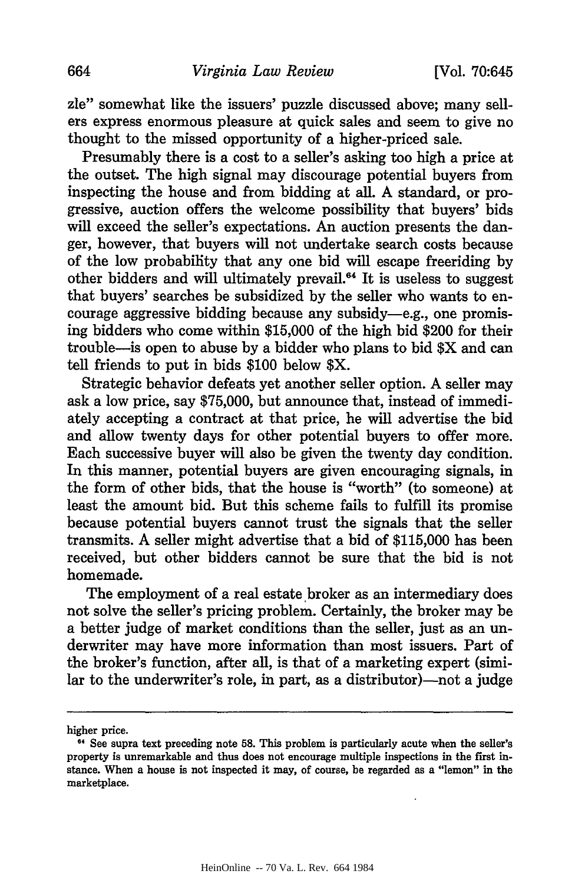zle" somewhat like the issuers' puzzle discussed above; many sellers express enormous pleasure at quick sales and seem to give no thought to the missed opportunity of a higher-priced sale.

Presumably there is a cost to a seller's asking too high a price at the outset. The high signal may discourage potential buyers from inspecting the house and from bidding at all. A standard, or progressive, auction offers the welcome possibility that buyers' bids will exceed the seller's expectations. An auction presents the danger, however, that buyers will not undertake search costs because of the low probability that any one bid will escape freeriding by other bidders and will ultimately prevail.<sup>64</sup> It is useless to suggest that buyers' searches be subsidized by the seller who wants to encourage aggressive bidding because any subsidy-e.g., one promising bidders who come within \$15,000 of the high bid \$200 for their trouble-is open to abuse by a bidder who plans to bid \$X and can tell friends to put in bids \$100 below \$X.

Strategic behavior defeats yet another seller option. A seller may ask a low price, say \$75,000, but announce that, instead of immediately accepting a contract at that price, he will advertise the bid and allow twenty days for other potential buyers to offer more. Each successive buyer will also be given the twenty day condition. In this manner, potential buyers are given encouraging signals, in the form of other bids, that the house is "worth" (to someone) at least the amount bid. But this scheme fails to fulfill its promise because potential buyers cannot trust the signals that the seller transmits. A seller might advertise that a bid of \$115,000 has been received, but other bidders cannot be sure that the bid is not homemade.

The employment of a real estate broker as an intermediary does not solve the seller's pricing problem. Certainly, the broker may be a better judge of market conditions than the seller, just as an underwriter may have more information than most issuers. Part of the broker's function, after all, is that of a marketing expert (similar to the underwriter's role, in part, as a distributor)—not a judge

higher price.<br><sup>64</sup> See supra text preceding note 58. This problem is particularly acute when the seller's property is unremarkable and thus does not encourage multiple inspections in the first instance. When a house is not inspected it may, of course, be regarded as a "lemon" in the marketplace.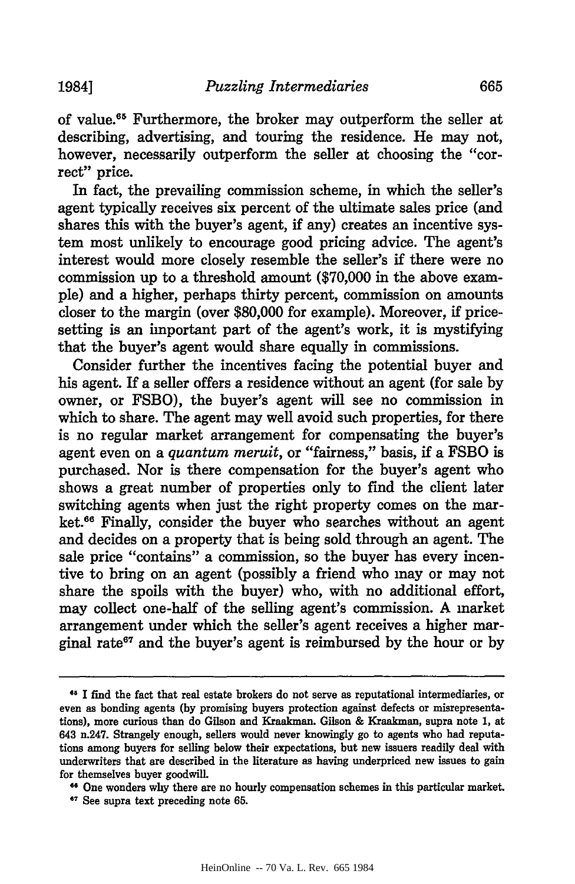of value.<sup>65</sup> Furthermore, the broker may outperform the seller at describing, advertising, and touring the residence. He may not, however, necessarily outperform the seller at choosing the "correct" price.

In fact, the prevailing commission scheme, in which the seller's agent typically receives six percent of the ultimate sales price (and shares this with the buyer's agent, if any) creates an incentive system most unlikely to encourage good pricing advice. The agent's interest would more closely resemble the seller's if there were no commission up to a threshold amount (\$70,000 in the above example) and a higher, perhaps thirty percent, commission on amounts closer to the margin (over \$80,000 for example). Moreover, if pricesetting is an important part of the agent's work, it is mystifying that the buyer's agent would share equally in commissions.

Consider further the incentives facing the potential buyer and his agent. If a seller offers a residence without an agent (for sale by owner, or FSBO), the buyer's agent will see no commission in which to share. The agent may well avoid such properties, for there is no regular market arrangement for compensating the buyer's agent even on a *quantum meruit,* or "fairness," basis, if a FSBO is purchased. Nor is there compensation for the buyer's agent who shows a great number of properties only to find the client later switching agents when just the right property comes on the market.<sup>66</sup> Finally, consider the buyer who searches without an agent and decides on a property that is being sold through an agent. The sale price "contains" a commission, so the buyer has every incentive to bring on an agent (possibly a friend who may or may not share the spoils with the buyer) who, with no additional effort, may collect one-half of the selling agent's commission. A market arrangement under which the seller's agent receives a higher marginal rate<sup>67</sup> and the buyer's agent is reimbursed by the hour or by

**<sup>&</sup>quot;** I find the fact that real estate brokers do not serve as reputational intermediaries, or even as bonding agents **(by** promising buyers protection against defects or misrepresentations), more curious than do Gilson and Kraakman. Gilson **&** Kraaknan, supra note **1,** at 643 n.247. Strangely enough, sellers would never knowingly go to agents who had reputations among buyers for selling below their expectations, but new issuers readily deal with underwriters that are described in the literature as having underpriced new issues to gain for themselves buyer goodwill.

<sup>&</sup>quot;One wonders why there are no hourly compensation schemes in this particular market.

**<sup>67</sup>**See supra text preceding note **65.**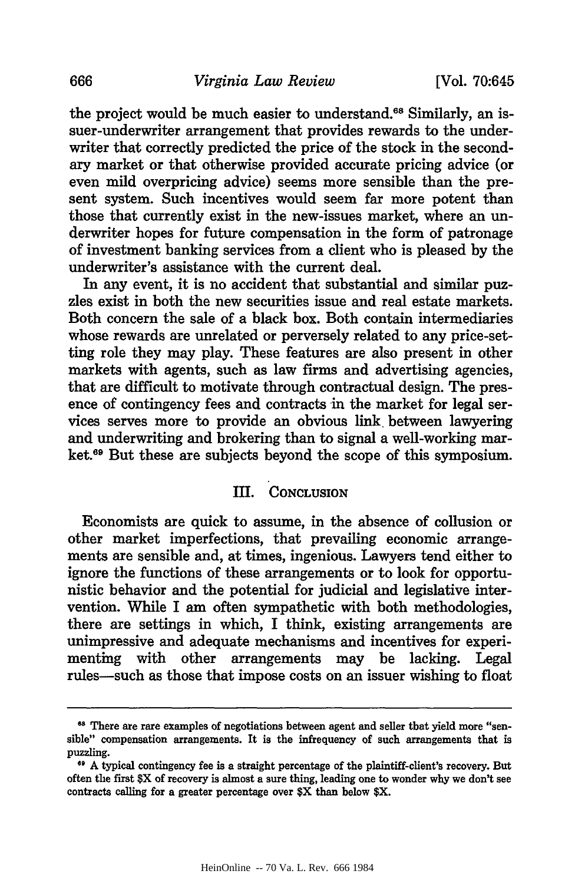the project would be much easier to understand.<sup>68</sup> Similarly, an issuer-underwriter arrangement that provides rewards to the underwriter that correctly predicted the price of the stock in the secondary market or that otherwise provided accurate pricing advice (or even mild overpricing advice) seems more sensible than the present system. Such incentives would seem far more potent than those that currently exist in the new-issues market, where an underwriter hopes for future compensation in the form of patronage of investment banking services from a client who is pleased by the underwriter's assistance with the current deal.

In any event, it is no accident that substantial and similar puzzles exist in both the new securities issue and real estate markets. Both concern the sale of a black box. Both contain intermediaries whose rewards are unrelated or perversely related to any price-setting role they may play. These features are also present in other markets with agents, such as law firms and advertising agencies, that are difficult to motivate through contractual design. The presence of contingency fees and contracts in the market for legal services serves more to provide an obvious link between lawyering and underwriting and brokering than to signal a well-working market.<sup>69</sup> But these are subjects beyond the scope of this symposium.

#### HI. CONCLUSION

Economists are quick to assume, in the absence of collusion or other market imperfections, that prevailing economic arrangements are sensible and, at times, ingenious. Lawyers tend either to ignore the functions of these arrangements or to look for opportunistic behavior and the potential for judicial and legislative intervention. While I am often sympathetic with both methodologies, there are settings in which, I think, existing arrangements are unimpressive and adequate mechanisms and incentives for experimenting with other arrangements may be lacking. Legal rules—such as those that impose costs on an issuer wishing to float

**<sup>&</sup>quot;** There are rare examples of negotiations between agent and seller that yield more "sensible" compensation arrangements. It is the infrequency of such arrangements that is puzzling.

**<sup>&#</sup>x27;1** A typical contingency fee is a straight percentage of the plaintiff-client's recovery. But often the first \$X of recovery is almost a sure thing, leading one to wonder why we don't see contracts calling for a greater percentage over \$X than below \$X.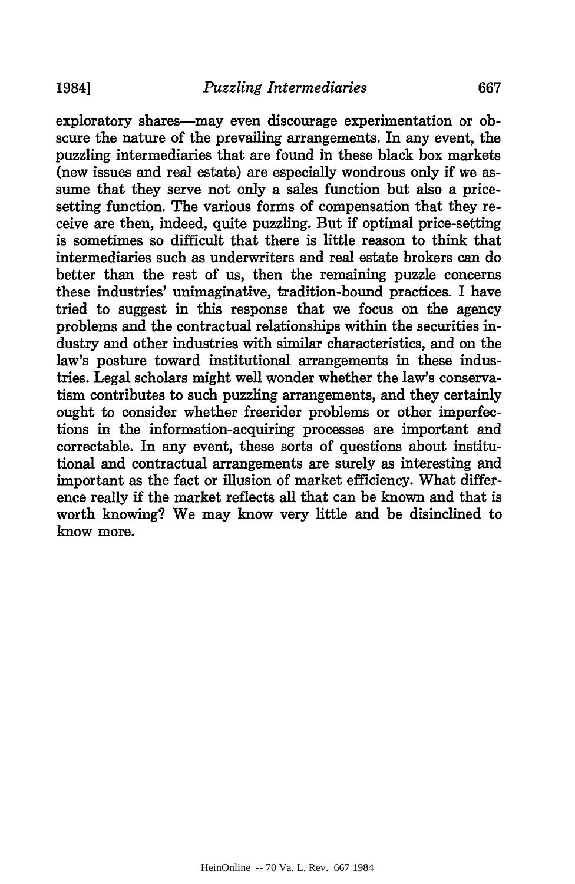exploratory shares—may even discourage experimentation or obscure the nature of the prevailing arrangements. In any event, the puzzling intermediaries that are found in these black box markets (new issues and real estate) are especially wondrous only **if** we assume that they serve not only a sales function but also a pricesetting function. The various forms of compensation that they receive are then, indeed, quite puzzling. But if optimal price-setting is sometimes so difficult that there is little reason to think that intermediaries such as underwriters and real estate brokers can do better than the rest of us, then the remaining puzzle concerns these industries' unimaginative, tradition-bound practices. I have tried to suggest in this response that we focus on the agency problems and the contractual relationships within the securities industry and other industries with similar characteristics, and on the law's posture toward institutional arrangements in these industries. Legal scholars might well wonder whether the law's conservatism contributes to such puzzling arrangements, and they certainly ought to consider whether freerider problems or other imperfections in the information-acquiring processes are important and correctable. In any event, these sorts of questions about institutional and contractual arrangements are surely as interesting and important as the fact or illusion of market efficiency. What difference really if the market reflects all that can be known and that is worth knowing? We may know very little and be disinclined to know more.